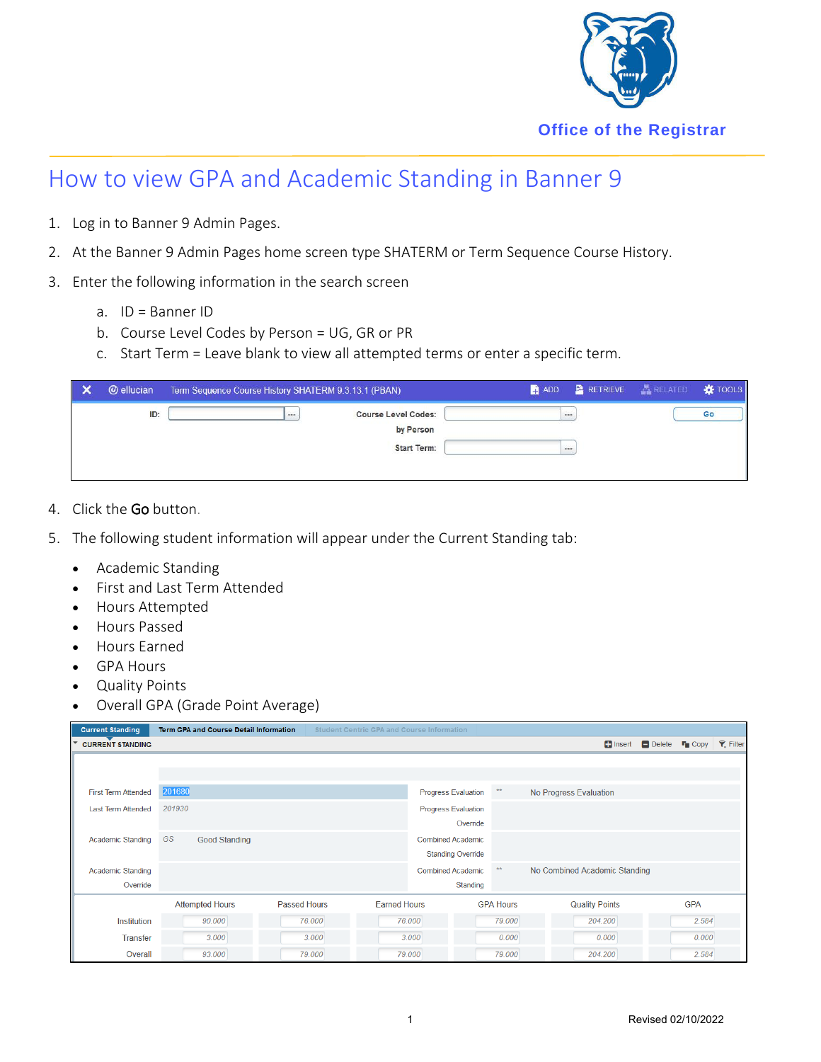

## How to view GPA and Academic Standing in Banner 9

- 1. Log in to Banner 9 Admin Pages.
- 2. At the Banner 9 Admin Pages home screen type SHATERM or Term Sequence Course History.
- 3. Enter the following information in the search screen
	- a. ID = Banner ID
	- b. Course Level Codes by Person = UG, GR or PR
	- c. Start Term = Leave blank to view all attempted terms or enter a specific term.

| <b>@</b> ellucian | Term Sequence Course History SHATERM 9.3.13.1 (PBAN)                  | <b>RETRIEVE</b><br><b>ADD</b> | <b>A RELATED *</b> TOOLS |
|-------------------|-----------------------------------------------------------------------|-------------------------------|--------------------------|
| ID:               | <b>Course Level Codes:</b><br>1.11<br>by Person<br><b>Start Term:</b> | <br>1888                      | Go                       |

- 4. Click the Go button.
- 5. The following student information will appear under the Current Standing tab:
	- Academic Standing
	- First and Last Term Attended
	- Hours Attempted
	- Hours Passed
	- Hours Earned
	- GPA Hours
	- Quality Points
	- Overall GPA (Grade Point Average)

| <b>Current Standing</b>    | <b>Term GPA and Course Detail Information</b> |                     | <b>Student Centric GPA and Course Information</b> |                          |                               |                                                                     |  |            |  |
|----------------------------|-----------------------------------------------|---------------------|---------------------------------------------------|--------------------------|-------------------------------|---------------------------------------------------------------------|--|------------|--|
| <b>CURRENT STANDING</b>    |                                               |                     |                                                   |                          |                               | Hinsert <b>Delete T</b> opy <b><math>\mathbf{F}</math></b> , Filter |  |            |  |
|                            |                                               |                     |                                                   |                          |                               |                                                                     |  |            |  |
|                            |                                               |                     |                                                   |                          |                               |                                                                     |  |            |  |
| <b>First Term Attended</b> | 201680                                        |                     |                                                   | Progress Evaluation      | $\star\star$                  | No Progress Evaluation                                              |  |            |  |
| <b>Last Term Attended</b>  | 201930                                        |                     | <b>Progress Evaluation</b>                        |                          |                               |                                                                     |  |            |  |
|                            |                                               |                     |                                                   | Override                 |                               |                                                                     |  |            |  |
| <b>Academic Standing</b>   | GS<br><b>Good Standing</b>                    |                     | <b>Combined Academic</b>                          |                          |                               |                                                                     |  |            |  |
|                            |                                               |                     |                                                   | <b>Standing Override</b> |                               |                                                                     |  |            |  |
| <b>Academic Standing</b>   |                                               |                     | $\star\star$<br><b>Combined Academic</b>          |                          | No Combined Academic Standing |                                                                     |  |            |  |
| Override                   |                                               |                     |                                                   | Standing                 |                               |                                                                     |  |            |  |
|                            | <b>Attempted Hours</b>                        | <b>Passed Hours</b> | <b>Earned Hours</b>                               |                          | <b>GPA Hours</b>              | <b>Quality Points</b>                                               |  | <b>GPA</b> |  |
| Institution                | 90.000                                        | 76,000              |                                                   | 76,000                   | 79,000                        | 204.200                                                             |  | 2.584      |  |
| <b>Transfer</b>            | 3.000                                         | 3.000               |                                                   | 3.000                    | 0.000                         | 0.000                                                               |  | 0.000      |  |
| Overall                    | 93.000                                        | 79.000              |                                                   | 79.000                   | 79.000                        | 204.200                                                             |  | 2.584      |  |